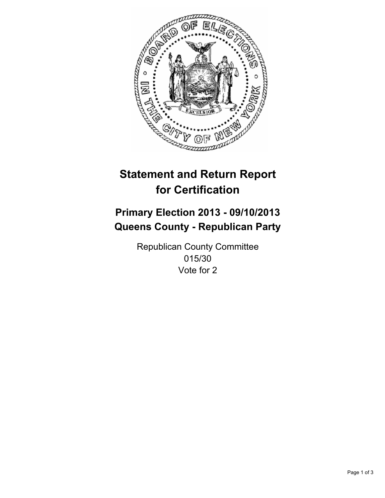

# **Statement and Return Report for Certification**

# **Primary Election 2013 - 09/10/2013 Queens County - Republican Party**

Republican County Committee 015/30 Vote for 2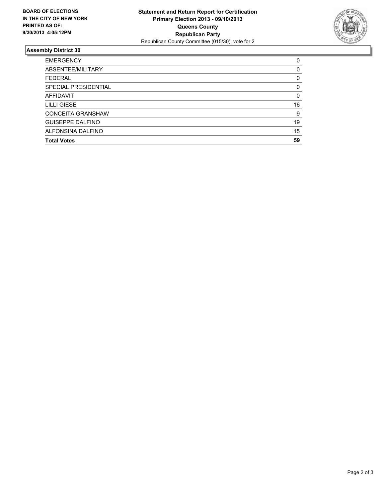

## **Assembly District 30**

| <b>EMERGENCY</b>         | 0        |
|--------------------------|----------|
| ABSENTEE/MILITARY        | $\Omega$ |
| <b>FEDERAL</b>           | 0        |
| SPECIAL PRESIDENTIAL     | 0        |
| <b>AFFIDAVIT</b>         | $\Omega$ |
| LILLI GIESE              | 16       |
| <b>CONCEITA GRANSHAW</b> | 9        |
| <b>GUISEPPE DALFINO</b>  | 19       |
| ALFONSINA DALFINO        | 15       |
| <b>Total Votes</b>       | 59       |